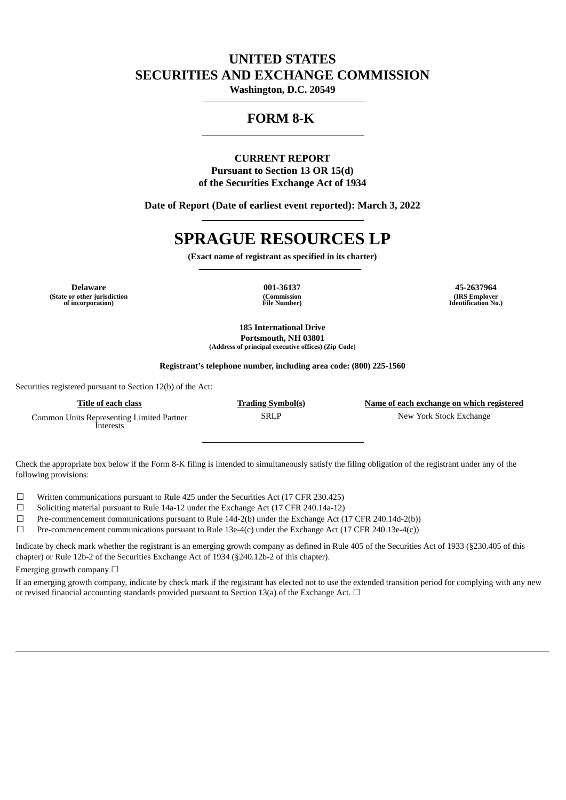# **UNITED STATES SECURITIES AND EXCHANGE COMMISSION**

**Washington, D.C. 20549**

# **FORM 8-K**

## **CURRENT REPORT Pursuant to Section 13 OR 15(d) of the Securities Exchange Act of 1934**

**Date of Report (Date of earliest event reported): March 3, 2022**

# **SPRAGUE RESOURCES LP**

**(Exact name of registrant as specified in its charter)**

**Delaware 001-36137 45-2637964 (State or other jurisdiction of incorporation)**

**(Commission File Number)**

**(IRS Employer Identification No.)**

**185 International Drive Portsmouth, NH 03801 (Address of principal executive offices) (Zip Code)**

**Registrant's telephone number, including area code: (800) 225-1560**

Securities registered pursuant to Section 12(b) of the Act:

**Title of each class Trading Symbol(s) Name of each exchange on which registered** Common Units Representing Limited Partner Interests SRLP New York Stock Exchange

Check the appropriate box below if the Form 8-K filing is intended to simultaneously satisfy the filing obligation of the registrant under any of the following provisions:

☐ Written communications pursuant to Rule 425 under the Securities Act (17 CFR 230.425)

☐ Soliciting material pursuant to Rule 14a-12 under the Exchange Act (17 CFR 240.14a-12)

☐ Pre-commencement communications pursuant to Rule 14d-2(b) under the Exchange Act (17 CFR 240.14d-2(b))

☐ Pre-commencement communications pursuant to Rule 13e-4(c) under the Exchange Act (17 CFR 240.13e-4(c))

Indicate by check mark whether the registrant is an emerging growth company as defined in Rule 405 of the Securities Act of 1933 (§230.405 of this chapter) or Rule 12b-2 of the Securities Exchange Act of 1934 (§240.12b-2 of this chapter).

Emerging growth company  $\Box$ 

If an emerging growth company, indicate by check mark if the registrant has elected not to use the extended transition period for complying with any new or revised financial accounting standards provided pursuant to Section 13(a) of the Exchange Act.  $\Box$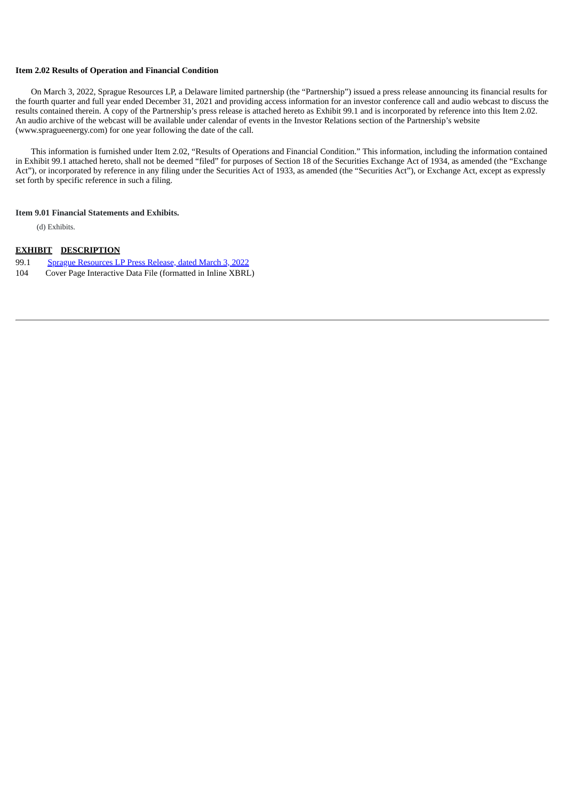#### **Item 2.02 Results of Operation and Financial Condition**

On March 3, 2022, Sprague Resources LP, a Delaware limited partnership (the "Partnership") issued a press release announcing its financial results for the fourth quarter and full year ended December 31, 2021 and providing access information for an investor conference call and audio webcast to discuss the results contained therein. A copy of the Partnership's press release is attached hereto as Exhibit 99.1 and is incorporated by reference into this Item 2.02. An audio archive of the webcast will be available under calendar of events in the Investor Relations section of the Partnership's website (www.spragueenergy.com) for one year following the date of the call.

This information is furnished under Item 2.02, "Results of Operations and Financial Condition." This information, including the information contained in Exhibit 99.1 attached hereto, shall not be deemed "filed" for purposes of Section 18 of the Securities Exchange Act of 1934, as amended (the "Exchange Act"), or incorporated by reference in any filing under the Securities Act of 1933, as amended (the "Securities Act"), or Exchange Act, except as expressly set forth by specific reference in such a filing.

**Item 9.01 Financial Statements and Exhibits.**

(d) Exhibits.

#### **EXHIBIT DESCRIPTION**

- 99.1 Sprague [Resources](#page-3-0) LP Press Release, dated March 3, 2022
- 104 Cover Page Interactive Data File (formatted in Inline XBRL)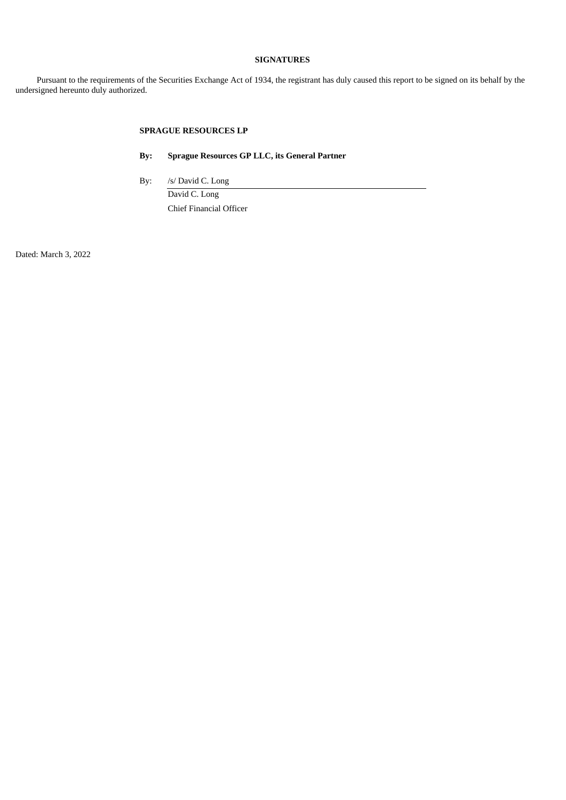#### **SIGNATURES**

Pursuant to the requirements of the Securities Exchange Act of 1934, the registrant has duly caused this report to be signed on its behalf by the undersigned hereunto duly authorized.

### **SPRAGUE RESOURCES LP**

## **By: Sprague Resources GP LLC, its General Partner**

By: /s/ David C. Long

David C. Long Chief Financial Officer

Dated: March 3, 2022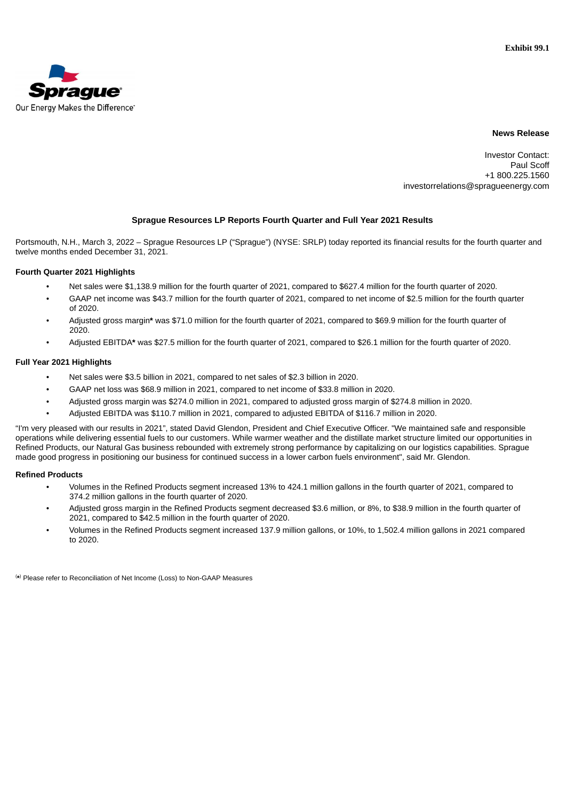<span id="page-3-0"></span>

#### **News Release**

Investor Contact: Paul Scoff +1 800.225.1560 investorrelations@spragueenergy.com

#### **Sprague Resources LP Reports Fourth Quarter and Full Year 2021 Results**

Portsmouth, N.H., March 3, 2022 – Sprague Resources LP ("Sprague") (NYSE: SRLP) today reported its financial results for the fourth quarter and twelve months ended December 31, 2021.

#### **Fourth Quarter 2021 Highlights**

- Net sales were \$1,138.9 million for the fourth quarter of 2021, compared to \$627.4 million for the fourth quarter of 2020.
- GAAP net income was \$43.7 million for the fourth quarter of 2021, compared to net income of \$2.5 million for the fourth quarter of 2020.
- Adjusted gross margin**\*** was \$71.0 million for the fourth quarter of 2021, compared to \$69.9 million for the fourth quarter of 2020.
- Adjusted EBITDA**\*** was \$27.5 million for the fourth quarter of 2021, compared to \$26.1 million for the fourth quarter of 2020.

#### **Full Year 2021 Highlights**

- Net sales were \$3.5 billion in 2021, compared to net sales of \$2.3 billion in 2020.
- GAAP net loss was \$68.9 million in 2021, compared to net income of \$33.8 million in 2020.
- Adjusted gross margin was \$274.0 million in 2021, compared to adjusted gross margin of \$274.8 million in 2020.
- Adjusted EBITDA was \$110.7 million in 2021, compared to adjusted EBITDA of \$116.7 million in 2020.

"I'm very pleased with our results in 2021", stated David Glendon, President and Chief Executive Officer. "We maintained safe and responsible operations while delivering essential fuels to our customers. While warmer weather and the distillate market structure limited our opportunities in Refined Products, our Natural Gas business rebounded with extremely strong performance by capitalizing on our logistics capabilities. Sprague made good progress in positioning our business for continued success in a lower carbon fuels environment", said Mr. Glendon.

#### **Refined Products**

- Volumes in the Refined Products segment increased 13% to 424.1 million gallons in the fourth quarter of 2021, compared to 374.2 million gallons in the fourth quarter of 2020.
- Adjusted gross margin in the Refined Products segment decreased \$3.6 million, or 8%, to \$38.9 million in the fourth quarter of 2021, compared to \$42.5 million in the fourth quarter of 2020.
- Volumes in the Refined Products segment increased 137.9 million gallons, or 10%, to 1,502.4 million gallons in 2021 compared to 2020.

**\*** Please refer to Reconciliation of Net Income (Loss) to Non-GAAP Measures ( )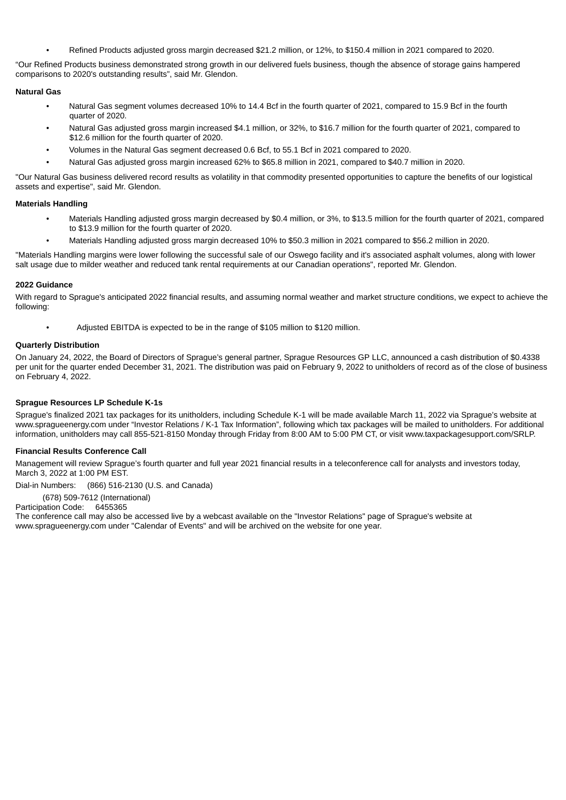• Refined Products adjusted gross margin decreased \$21.2 million, or 12%, to \$150.4 million in 2021 compared to 2020.

"Our Refined Products business demonstrated strong growth in our delivered fuels business, though the absence of storage gains hampered comparisons to 2020's outstanding results", said Mr. Glendon.

#### **Natural Gas**

- Natural Gas segment volumes decreased 10% to 14.4 Bcf in the fourth quarter of 2021, compared to 15.9 Bcf in the fourth quarter of 2020.
- Natural Gas adjusted gross margin increased \$4.1 million, or 32%, to \$16.7 million for the fourth quarter of 2021, compared to \$12.6 million for the fourth quarter of 2020.
- Volumes in the Natural Gas segment decreased 0.6 Bcf, to 55.1 Bcf in 2021 compared to 2020.
- Natural Gas adjusted gross margin increased 62% to \$65.8 million in 2021, compared to \$40.7 million in 2020.

"Our Natural Gas business delivered record results as volatility in that commodity presented opportunities to capture the benefits of our logistical assets and expertise", said Mr. Glendon.

#### **Materials Handling**

- Materials Handling adjusted gross margin decreased by \$0.4 million, or 3%, to \$13.5 million for the fourth quarter of 2021, compared to \$13.9 million for the fourth quarter of 2020.
- Materials Handling adjusted gross margin decreased 10% to \$50.3 million in 2021 compared to \$56.2 million in 2020.

"Materials Handling margins were lower following the successful sale of our Oswego facility and it's associated asphalt volumes, along with lower salt usage due to milder weather and reduced tank rental requirements at our Canadian operations", reported Mr. Glendon.

#### **2022 Guidance**

With regard to Sprague's anticipated 2022 financial results, and assuming normal weather and market structure conditions, we expect to achieve the following:

• Adjusted EBITDA is expected to be in the range of \$105 million to \$120 million.

#### **Quarterly Distribution**

On January 24, 2022, the Board of Directors of Sprague's general partner, Sprague Resources GP LLC, announced a cash distribution of \$0.4338 per unit for the quarter ended December 31, 2021. The distribution was paid on February 9, 2022 to unitholders of record as of the close of business on February 4, 2022.

#### **Sprague Resources LP Schedule K-1s**

Sprague's finalized 2021 tax packages for its unitholders, including Schedule K-1 will be made available March 11, 2022 via Sprague's website at www.spragueenergy.com under "Investor Relations / K-1 Tax Information", following which tax packages will be mailed to unitholders. For additional information, unitholders may call 855-521-8150 Monday through Friday from 8:00 AM to 5:00 PM CT, or visit www.taxpackagesupport.com/SRLP.

#### **Financial Results Conference Call**

Management will review Sprague's fourth quarter and full year 2021 financial results in a teleconference call for analysts and investors today, March 3, 2022 at 1:00 PM EST.

Dial-in Numbers: (866) 516-2130 (U.S. and Canada)

(678) 509-7612 (International)

#### Participation Code: 6455365

The conference call may also be accessed live by a webcast available on the "Investor Relations" page of Sprague's website at www.spragueenergy.com under "Calendar of Events" and will be archived on the website for one year.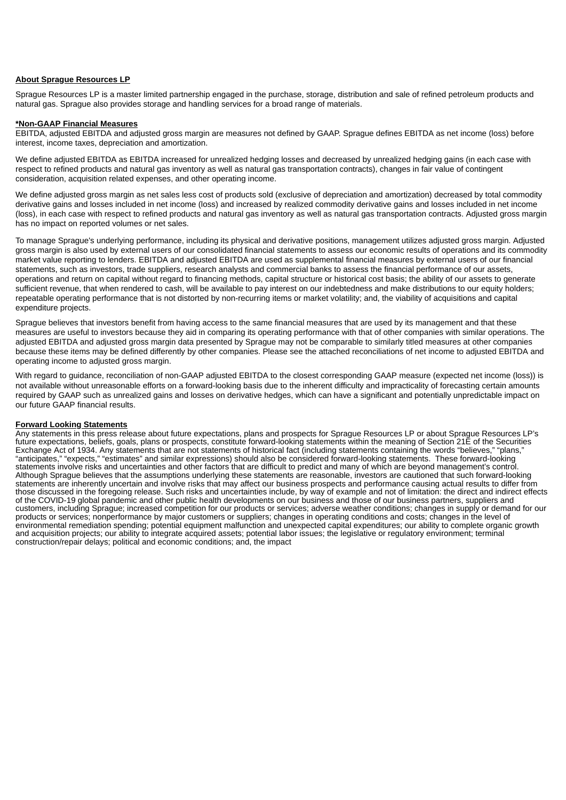#### **About Sprague Resources LP**

Sprague Resources LP is a master limited partnership engaged in the purchase, storage, distribution and sale of refined petroleum products and natural gas. Sprague also provides storage and handling services for a broad range of materials.

#### **\*Non-GAAP Financial Measures**

EBITDA, adjusted EBITDA and adjusted gross margin are measures not defined by GAAP. Sprague defines EBITDA as net income (loss) before interest, income taxes, depreciation and amortization.

We define adjusted EBITDA as EBITDA increased for unrealized hedging losses and decreased by unrealized hedging gains (in each case with respect to refined products and natural gas inventory as well as natural gas transportation contracts), changes in fair value of contingent consideration, acquisition related expenses, and other operating income.

We define adjusted gross margin as net sales less cost of products sold (exclusive of depreciation and amortization) decreased by total commodity derivative gains and losses included in net income (loss) and increased by realized commodity derivative gains and losses included in net income (loss), in each case with respect to refined products and natural gas inventory as well as natural gas transportation contracts. Adjusted gross margin has no impact on reported volumes or net sales.

To manage Sprague's underlying performance, including its physical and derivative positions, management utilizes adjusted gross margin. Adjusted gross margin is also used by external users of our consolidated financial statements to assess our economic results of operations and its commodity market value reporting to lenders. EBITDA and adjusted EBITDA are used as supplemental financial measures by external users of our financial statements, such as investors, trade suppliers, research analysts and commercial banks to assess the financial performance of our assets, operations and return on capital without regard to financing methods, capital structure or historical cost basis; the ability of our assets to generate sufficient revenue, that when rendered to cash, will be available to pay interest on our indebtedness and make distributions to our equity holders; repeatable operating performance that is not distorted by non-recurring items or market volatility; and, the viability of acquisitions and capital expenditure projects.

Sprague believes that investors benefit from having access to the same financial measures that are used by its management and that these measures are useful to investors because they aid in comparing its operating performance with that of other companies with similar operations. The adjusted EBITDA and adjusted gross margin data presented by Sprague may not be comparable to similarly titled measures at other companies because these items may be defined differently by other companies. Please see the attached reconciliations of net income to adjusted EBITDA and operating income to adjusted gross margin.

With regard to guidance, reconciliation of non-GAAP adjusted EBITDA to the closest corresponding GAAP measure (expected net income (loss)) is not available without unreasonable efforts on a forward-looking basis due to the inherent difficulty and impracticality of forecasting certain amounts required by GAAP such as unrealized gains and losses on derivative hedges, which can have a significant and potentially unpredictable impact on our future GAAP financial results.

#### **Forward Looking Statements**

Any statements in this press release about future expectations, plans and prospects for Sprague Resources LP or about Sprague Resources LP's future expectations, beliefs, goals, plans or prospects, constitute forward-looking statements within the meaning of Section 21E of the Securities Exchange Act of 1934. Any statements that are not statements of historical fact (including statements containing the words "believes," "plans," "anticipates," "expects," "estimates" and similar expressions) should also be considered forward-looking statements. These forward-looking statements involve risks and uncertainties and other factors that are difficult to predict and many of which are beyond management's control. Although Sprague believes that the assumptions underlying these statements are reasonable, investors are cautioned that such forward-looking statements are inherently uncertain and involve risks that may affect our business prospects and performance causing actual results to differ from those discussed in the foregoing release. Such risks and uncertainties include, by way of example and not of limitation: the direct and indirect effects of the COVID-19 global pandemic and other public health developments on our business and those of our business partners, suppliers and customers, including Sprague; increased competition for our products or services; adverse weather conditions; changes in supply or demand for our products or services; nonperformance by major customers or suppliers; changes in operating conditions and costs; changes in the level of environmental remediation spending; potential equipment malfunction and unexpected capital expenditures; our ability to complete organic growth and acquisition projects; our ability to integrate acquired assets; potential labor issues; the legislative or regulatory environment; terminal construction/repair delays; political and economic conditions; and, the impact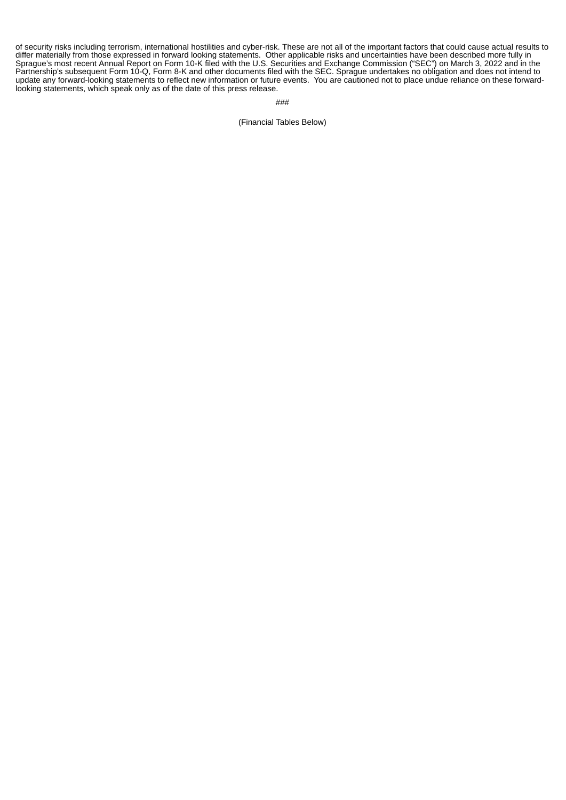of security risks including terrorism, international hostilities and cyber-risk. These are not all of the important factors that could cause actual results to differ materially from those expressed in forward looking statements. Other applicable risks and uncertainties have been described more fully in Sprague's most recent Annual Report on Form 10-K filed with the U.S. Securities and Exchange Commission ("SEC") on March 3, 2022 and in the Partnership's subsequent Form 10-Q, Form 8-K and other documents filed with the SEC. Sprague undertakes no obligation and does not intend to update any forward-looking statements to reflect new information or future events. You are cautioned not to place undue reliance on these forwardlooking statements, which speak only as of the date of this press release.

```
###
```
(Financial Tables Below)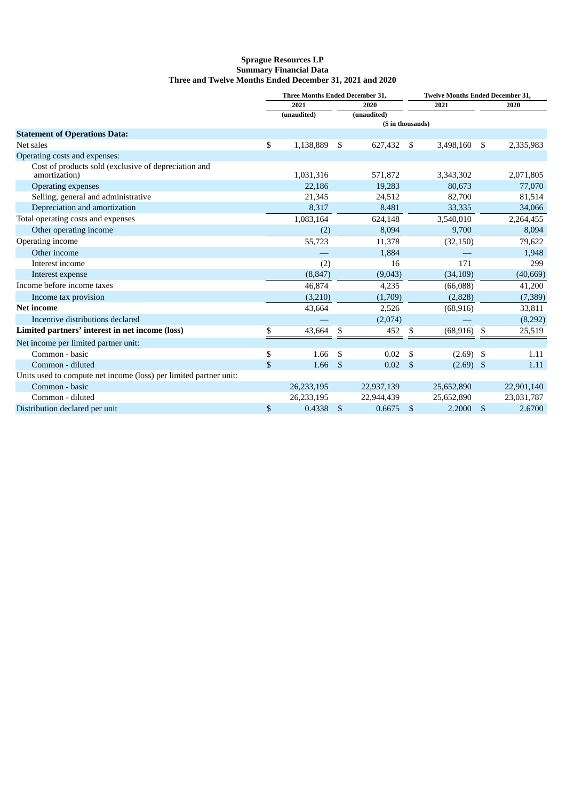#### **Sprague Resources LP Summary Financial Data Three and Twelve Months Ended December 31, 2021 and 2020**

|                                                                       | <b>Three Months Ended December 31,</b> |             |             | <b>Twelve Months Ended December 31,</b> |               |             |     |            |
|-----------------------------------------------------------------------|----------------------------------------|-------------|-------------|-----------------------------------------|---------------|-------------|-----|------------|
|                                                                       | 2021                                   |             | 2020        |                                         | 2021          |             |     | 2020       |
|                                                                       |                                        | (unaudited) | (unaudited) |                                         |               |             |     |            |
|                                                                       |                                        |             |             | (\$ in thousands)                       |               |             |     |            |
| <b>Statement of Operations Data:</b>                                  |                                        |             |             |                                         |               |             |     |            |
| Net sales                                                             | \$                                     | 1,138,889   | \$          | 627,432                                 | - \$          | 3,498,160   | -\$ | 2,335,983  |
| Operating costs and expenses:                                         |                                        |             |             |                                         |               |             |     |            |
| Cost of products sold (exclusive of depreciation and<br>amortization) |                                        | 1,031,316   |             | 571,872                                 |               | 3,343,302   |     | 2,071,805  |
| <b>Operating expenses</b>                                             |                                        | 22,186      |             | 19,283                                  |               | 80,673      |     | 77,070     |
| Selling, general and administrative                                   |                                        | 21,345      |             | 24,512                                  |               | 82,700      |     | 81,514     |
| Depreciation and amortization                                         |                                        | 8,317       |             | 8,481                                   |               | 33,335      |     | 34,066     |
| Total operating costs and expenses                                    |                                        | 1,083,164   |             | 624,148                                 |               | 3,540,010   |     | 2,264,455  |
| Other operating income                                                |                                        | (2)         |             | 8,094                                   |               | 9,700       |     | 8,094      |
| Operating income                                                      |                                        | 55,723      |             | 11,378                                  |               | (32, 150)   |     | 79,622     |
| Other income                                                          |                                        |             |             | 1,884                                   |               |             |     | 1,948      |
| Interest income                                                       |                                        | (2)         |             | 16                                      |               | 171         |     | 299        |
| Interest expense                                                      |                                        | (8, 847)    |             | (9,043)                                 |               | (34, 109)   |     | (40, 669)  |
| Income before income taxes                                            |                                        | 46,874      |             | 4,235                                   |               | (66,088)    |     | 41,200     |
| Income tax provision                                                  |                                        | (3,210)     |             | (1,709)                                 |               | (2,828)     |     | (7, 389)   |
| <b>Net income</b>                                                     |                                        | 43,664      |             | 2,526                                   |               | (68, 916)   |     | 33,811     |
| Incentive distributions declared                                      |                                        |             |             | (2,074)                                 |               |             |     | (8,292)    |
| Limited partners' interest in net income (loss)                       | \$                                     | 43,664      | \$          | 452                                     | \$            | (68, 916)   | \$  | 25,519     |
| Net income per limited partner unit:                                  |                                        |             |             |                                         |               |             |     |            |
| Common - basic                                                        | \$                                     | 1.66        | \$          | 0.02                                    | \$            | $(2.69)$ \$ |     | 1.11       |
| Common - diluted                                                      | \$                                     | 1.66        | -\$         | 0.02                                    | -\$           | $(2.69)$ \$ |     | 1.11       |
| Units used to compute net income (loss) per limited partner unit:     |                                        |             |             |                                         |               |             |     |            |
| Common - basic                                                        |                                        | 26,233,195  |             | 22,937,139                              |               | 25,652,890  |     | 22,901,140 |
| Common - diluted                                                      |                                        | 26,233,195  |             | 22,944,439                              |               | 25,652,890  |     | 23,031,787 |
| Distribution declared per unit                                        | \$                                     | 0.4338      | \$          | 0.6675                                  | <sup>\$</sup> | 2.2000      | \$  | 2.6700     |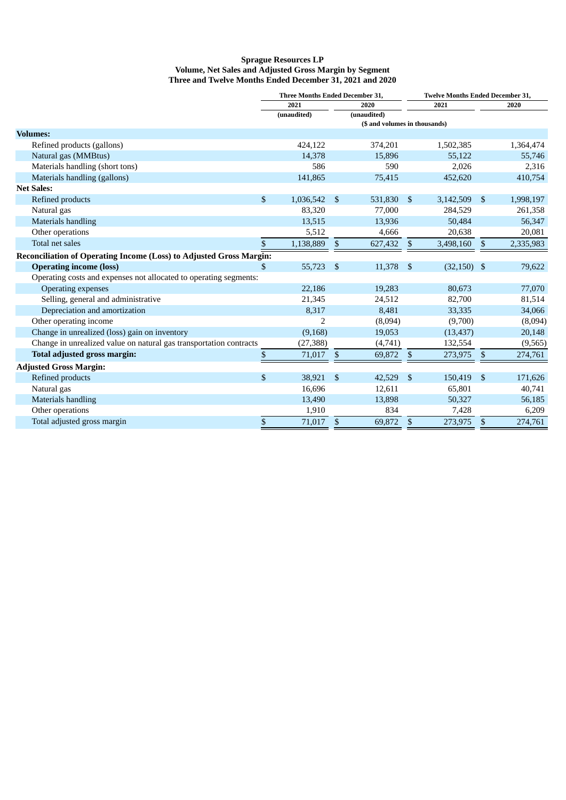#### **Sprague Resources LP Volume, Net Sales and Adjusted Gross Margin by Segment Three and Twelve Months Ended December 31, 2021 and 2020**

|                                                                     | <b>Three Months Ended December 31,</b> |                |                               |                | <b>Twelve Months Ended December 31,</b> |                |           |  |
|---------------------------------------------------------------------|----------------------------------------|----------------|-------------------------------|----------------|-----------------------------------------|----------------|-----------|--|
|                                                                     | 2021                                   |                | 2020                          |                | 2021                                    |                | 2020      |  |
|                                                                     | (unaudited)                            | (unaudited)    |                               |                |                                         |                |           |  |
|                                                                     |                                        |                | (\$ and volumes in thousands) |                |                                         |                |           |  |
| <b>Volumes:</b>                                                     |                                        |                |                               |                |                                         |                |           |  |
| Refined products (gallons)                                          | 424,122                                |                | 374,201                       |                | 1,502,385                               |                | 1,364,474 |  |
| Natural gas (MMBtus)                                                | 14,378                                 |                | 15,896                        |                | 55,122                                  |                | 55,746    |  |
| Materials handling (short tons)                                     | 586                                    |                | 590                           |                | 2,026                                   |                | 2,316     |  |
| Materials handling (gallons)                                        | 141,865                                |                | 75,415                        |                | 452,620                                 |                | 410,754   |  |
| <b>Net Sales:</b>                                                   |                                        |                |                               |                |                                         |                |           |  |
| $\mathbb{S}$<br>Refined products                                    | 1,036,542                              | \$             | 531,830                       | \$             | 3,142,509                               | -\$            | 1,998,197 |  |
| Natural gas                                                         | 83,320                                 |                | 77,000                        |                | 284,529                                 |                | 261,358   |  |
| <b>Materials handling</b>                                           | 13,515                                 |                | 13,936                        |                | 50,484                                  |                | 56,347    |  |
| Other operations                                                    | 5,512                                  |                | 4,666                         |                | 20,638                                  |                | 20,081    |  |
| Total net sales<br>$\mathfrak{L}$                                   | 1,138,889                              | $\mathbb{S}$   | 627,432                       | \$             | 3,498,160                               | \$             | 2,335,983 |  |
| Reconciliation of Operating Income (Loss) to Adjusted Gross Margin: |                                        |                |                               |                |                                         |                |           |  |
| <b>Operating income (loss)</b><br><sup>\$</sup>                     | 55,723                                 | $\mathfrak{s}$ | 11,378                        | \$             | $(32,150)$ \$                           |                | 79,622    |  |
| Operating costs and expenses not allocated to operating segments:   |                                        |                |                               |                |                                         |                |           |  |
| <b>Operating expenses</b>                                           | 22,186                                 |                | 19,283                        |                | 80,673                                  |                | 77,070    |  |
| Selling, general and administrative                                 | 21,345                                 |                | 24,512                        |                | 82,700                                  |                | 81,514    |  |
| Depreciation and amortization                                       | 8,317                                  |                | 8,481                         |                | 33,335                                  |                | 34,066    |  |
| Other operating income                                              | 2                                      |                | (8,094)                       |                | (9,700)                                 |                | (8,094)   |  |
| Change in unrealized (loss) gain on inventory                       | (9, 168)                               |                | 19,053                        |                | (13, 437)                               |                | 20,148    |  |
| Change in unrealized value on natural gas transportation contracts  | (27, 388)                              |                | (4,741)                       |                | 132,554                                 |                | (9, 565)  |  |
| Total adjusted gross margin:<br>\$                                  | 71,017                                 | \$             | 69,872                        | $\mathfrak{S}$ | 273,975                                 | \$             | 274,761   |  |
| <b>Adjusted Gross Margin:</b>                                       |                                        |                |                               |                |                                         |                |           |  |
| $\mathbb{S}$<br>Refined products                                    | 38,921                                 | \$             | 42,529                        | \$             | 150,419                                 | -\$            | 171,626   |  |
| Natural gas                                                         | 16,696                                 |                | 12,611                        |                | 65,801                                  |                | 40,741    |  |
| <b>Materials handling</b>                                           | 13,490                                 |                | 13,898                        |                | 50,327                                  |                | 56,185    |  |
| Other operations                                                    | 1,910                                  |                | 834                           |                | 7,428                                   |                | 6,209     |  |
| Total adjusted gross margin<br>\$                                   | 71,017                                 | $\mathfrak{s}$ | 69,872                        | $\mathfrak{s}$ | 273,975                                 | $\mathfrak{s}$ | 274,761   |  |
|                                                                     |                                        |                |                               |                |                                         |                |           |  |